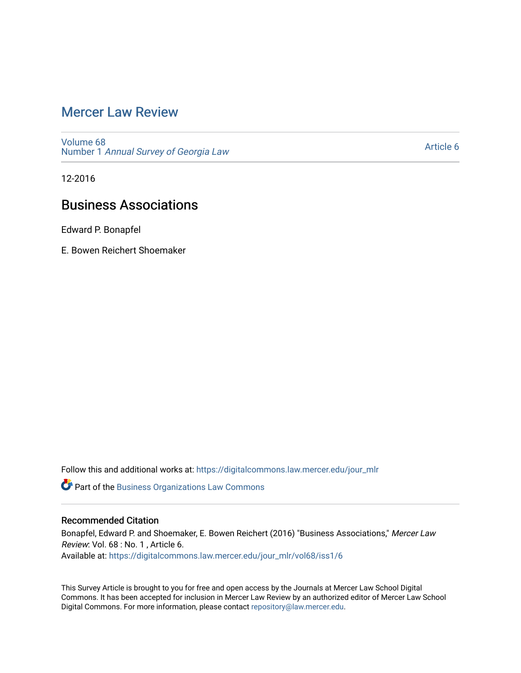## [Mercer Law Review](https://digitalcommons.law.mercer.edu/jour_mlr)

[Volume 68](https://digitalcommons.law.mercer.edu/jour_mlr/vol68) Number 1 [Annual Survey of Georgia Law](https://digitalcommons.law.mercer.edu/jour_mlr/vol68/iss1) 

[Article 6](https://digitalcommons.law.mercer.edu/jour_mlr/vol68/iss1/6) 

12-2016

# Business Associations

Edward P. Bonapfel

E. Bowen Reichert Shoemaker

Follow this and additional works at: [https://digitalcommons.law.mercer.edu/jour\\_mlr](https://digitalcommons.law.mercer.edu/jour_mlr?utm_source=digitalcommons.law.mercer.edu%2Fjour_mlr%2Fvol68%2Fiss1%2F6&utm_medium=PDF&utm_campaign=PDFCoverPages)

**Part of the [Business Organizations Law Commons](http://network.bepress.com/hgg/discipline/900?utm_source=digitalcommons.law.mercer.edu%2Fjour_mlr%2Fvol68%2Fiss1%2F6&utm_medium=PDF&utm_campaign=PDFCoverPages)** 

## Recommended Citation

Bonapfel, Edward P. and Shoemaker, E. Bowen Reichert (2016) "Business Associations," Mercer Law Review: Vol. 68 : No. 1 , Article 6. Available at: [https://digitalcommons.law.mercer.edu/jour\\_mlr/vol68/iss1/6](https://digitalcommons.law.mercer.edu/jour_mlr/vol68/iss1/6?utm_source=digitalcommons.law.mercer.edu%2Fjour_mlr%2Fvol68%2Fiss1%2F6&utm_medium=PDF&utm_campaign=PDFCoverPages)

This Survey Article is brought to you for free and open access by the Journals at Mercer Law School Digital Commons. It has been accepted for inclusion in Mercer Law Review by an authorized editor of Mercer Law School Digital Commons. For more information, please contact [repository@law.mercer.edu](mailto:repository@law.mercer.edu).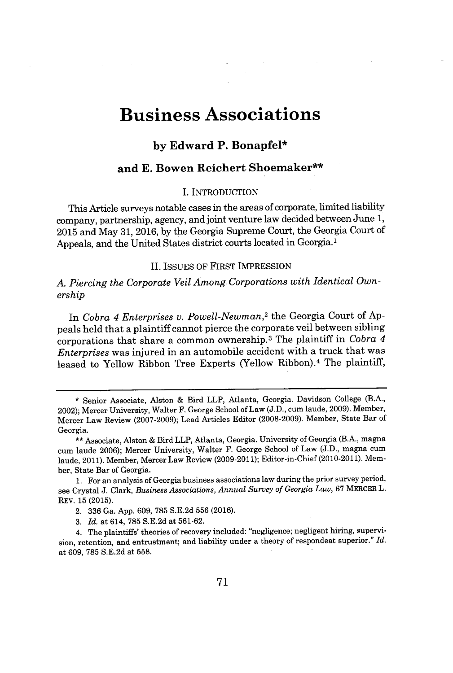# **Business Associations**

## **by Edward P. Bonapfel\***

## **and E. Bowen Reichert Shoemaker\*\***

#### I. INTRODUCTION

This Article surveys notable cases in the areas of corporate, limited liability company, partnership, agency, and joint venture law decided between June **1, 2015** and May **31, 2016, by** the Georgia Supreme Court, the Georgia Court of Appeals, and the United States district courts located in Georgia.'

#### **II. ISSUES** OF FIRST IMPRESSION

*A. Piercing the Corporate Veil Among Corporations with Identical Ownership*

In *Cobra 4 Enterprises v. Powell-Newman,<sup>2</sup>*the Georgia Court of **Ap**peals held that a plaintiff cannot pierce the corporate veil between sibling corporations that share a common ownership. <sup>3</sup>The plaintiff in *Cobra 4 Enterprises* was injured in an automobile accident with a truck that was leased to Yellow Ribbon Tree Experts (Yellow Ribbon).<sup>4</sup> The plaintiff,

<sup>\*</sup> Senior Associate, Alston **&** Bird LLP, Atlanta, Georgia. Davidson College (B.A., 2002); Mercer University, Walter F. George School of Law **(J.D.,** cum laude, **2009).** Member, Mercer Law Review **(2007-2009);** Lead Articles Editor **(2008-2009).** Member, State Bar of Georgia.

**<sup>\*\*</sup>** Associate, Alston **&** Bird LLP, Atlanta, Georgia. University of Georgia (B.A., magna cum laude **2006);** Mercer University, Walter F. George School of Law **(J.D.,** magna cum laude, 2011). Member, Mercer Law Review **(2009-2011);** Editor-in-Chief (2010-2011). Member, State Bar of Georgia.

**<sup>1.</sup>** For an analysis of Georgia business associations law during the prior survey period, see Crystal **J.** Clark, *Business Associations, Annual Survey of Georgia Law,* **67** MERCER L. REV. **15 (2015).**

<sup>2.</sup> **336** Ga. **App. 609, 785 S.E.2d 556 (2016).**

**<sup>3.</sup>** *Id.* at 614, **785 S.E.2d** at **561-62.**

<sup>4.</sup> The plaintiffs' theories of recovery included: "negligence; negligent hiring, supervision, retention, and entrustment; and liability under a theory of respondeat superior." *Id.* at **609, 785 S.E.2d** at **558.**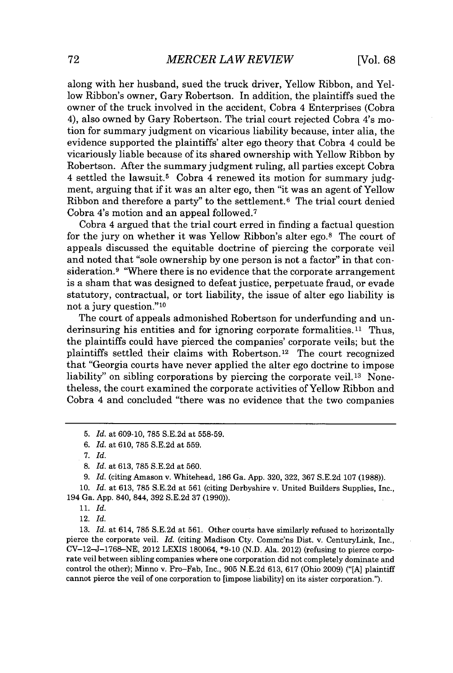along with her husband, sued the truck driver, Yellow Ribbon, and Yellow Ribbon's owner, Gary Robertson. In addition, the plaintiffs sued the owner of the truck involved in the accident, Cobra 4 Enterprises (Cobra 4), also owned **by** Gary Robertson. The trial court rejected Cobra 4's motion for summary judgment on vicarious liability because, inter alia, the evidence supported the plaintiffs' alter ego theory that Cobra 4 could be vicariously liable because of its shared ownership with Yellow Ribbon **by** Robertson. After the summary judgment ruling, all parties except Cobra 4 settled the lawsuit.<sup>5</sup>Cobra 4 renewed its motion for summary **judg**ment, arguing that if it was an alter ego, then "it was an agent of Yellow Ribbon and therefore a party" to the settlement.<sup>6</sup> The trial court denied Cobra 4's motion and an appeal followed. <sup>7</sup>

Cobra 4 argued that the trial court erred in finding a factual question for the jury on whether it was Yellow Ribbon's alter ego.<sup>8</sup> The court of appeals discussed the equitable doctrine of piercing the corporate veil and noted that "sole ownership **by** one person is not a factor" in that consideration.<sup>9</sup> "Where there is no evidence that the corporate arrangement is a sham that was designed to defeat justice, perpetuate fraud, or evade statutory, contractual, or tort liability, the issue of alter ego liability is not a jury question."<sup>10</sup>

The court of appeals admonished Robertson for underfunding and underinsuring his entities and for ignoring corporate formalities. $11$  Thus, the plaintiffs could have pierced the companies' corporate veils; but the plaintiffs settled their claims with Robertson.<sup>12</sup> The court recognized that "Georgia courts have never applied the alter ego doctrine to impose liability" on sibling corporations by piercing the corporate veil.<sup>13</sup> Nonetheless, the court examined the corporate activities of Yellow Ribbon and Cobra 4 and concluded "there was no evidence that the two companies

12. *Id.*

**<sup>5.</sup>** *Id.* at **609-10, 785 S.E.2d** at **558-59.**

*<sup>6.</sup> Id.* at **610, 785 S.E.2d** at **559.**

*<sup>7.</sup> Id.*

**<sup>8.</sup>** *Id.* at **613, 785 S.E.2d** at **560.**

**<sup>9.</sup>** *Id.* (citing Amason v. Whitehead, **186** Ga. **App. 320, 322, 367 S.E.2d 107 (1988)).**

**<sup>10.</sup>** *Id.* at **613, 785 S.E.2d** at **561** (citing Derbyshire v. United Builders Supplies, Inc., 194 Ga. **App.** 840, 844, **392 S.E.2d 37 (1990)).**

*<sup>11.</sup> Id.*

**<sup>13.</sup>** *Id.* at 614, **785 S.E.2d** at **561.** Other courts have similarly refused to horizontally pierce the corporate veil. *Id.* (citing Madison Cty. Commc'ns Dist. v. CenturyLink, Inc., **CV-12-J-1768-NE,** 2012 LEXIS 180064, **\*9-10 (N.D.** Ala. 2012) (refusing to pierce corporate veil between sibling companies where one corporation did not completely dominate and control the other); Minno v. Pro-Fab, Inc., **905 N.E.2d 613, 617** (Ohio **2009) ("[A]** plaintiff cannot pierce the veil of one corporation to [impose liability] on its sister corporation.").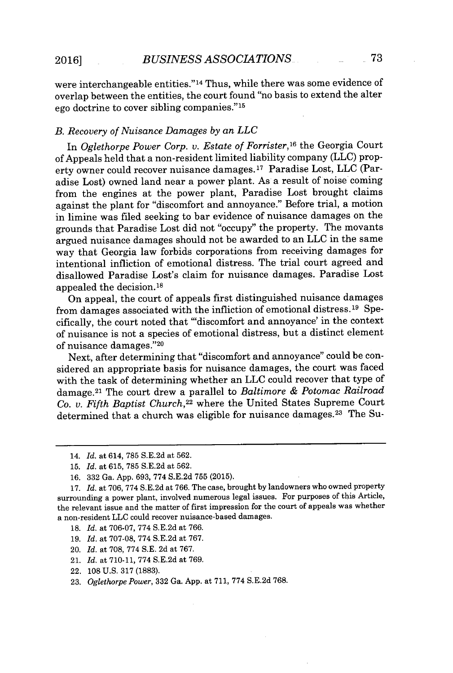were interchangeable entities." <sup>14</sup>Thus, while there was some evidence of overlap between the entities, the court found "no basis to extend the alter ego doctrine to cover sibling companies."<sup>15</sup>

## *B. Recovery of Nuisance Damages by an LLC*

In *Oglethorpe Power Corp. v. Estate of Forrister,1<sup>6</sup>*the Georgia Court of Appeals held that a non-resident limited liability company **(LLC)** property owner could recover nuisance damages.<sup>17</sup> Paradise Lost, LLC (Paradise Lost) owned land near a power plant. As a result of noise coming from the engines at the power plant, Paradise Lost brought claims against the plant for "discomfort and annoyance." Before trial, a motion in limine was filed seeking to bar evidence of nuisance damages on the grounds that Paradise Lost did not "occupy" the property. The movants argued nuisance damages should not be awarded to an **LLC** in the same way that Georgia law forbids corporations from receiving damages for intentional infliction of emotional distress. The trial court agreed and disallowed Paradise Lost's claim for nuisance damages. Paradise Lost appealed the decision.<sup>18</sup>

On appeal, the court of appeals first distinguished nuisance damages from damages associated with the infliction of emotional distress.<sup>19</sup> Specifically, the court noted that "'discomfort and annoyance' in the context of nuisance is not a species of emotional distress, but a distinct element of nuisance damages." <sup>20</sup>

Next, after determining that "discomfort and annoyance" could be considered an appropriate basis for nuisance damages, the court was faced with the task of determining whether an **LLC** could recover that type of damage. <sup>2</sup> 1 The court drew a parallel to *Baltimore & Potomac Railroad Co. v. Fifth Baptist Church,<sup>22</sup>*where the United States Supreme Court determined that a church was eligible for nuisance damages.<sup>23</sup> The Su-

- **18.** *Id.* at **706-07, 774 S.E.2d** at **766.**
- **19.** *Id.* at **707-08, 774 S.E.2d** at **767.**
- 20. *Id.* at **708, 774 S.E. 2d** at **767.**
- 21. *Id.* at **710-11, 774 S.E.2d** at **769.**
- 22. **108 U.S. 317 (1883).**
- **23.** *Oglethorpe Power,* **332** Ga. **App.** at **711, 774 S.E.2d 768.**

<sup>14.</sup> *Id. at* 614, **785 S.E.2d** at **562.**

**<sup>15.</sup>** *Id.* at **615, 785 S.E.2d** at **562.**

**<sup>16. 332</sup>** *Ga.* **App. 693, 774 S.E.2d 755 (2015).**

**<sup>17.</sup>** *Id. at 706,* **774 S.E.2d** at **766.** The case, brought **by** landowners who owned property surrounding a power plant, involved numerous legal issues. For purposes of this Article, the relevant issue and the matter of first impression for the court of appeals was whether a non-resident **LLC** could recover nuisance-based damages.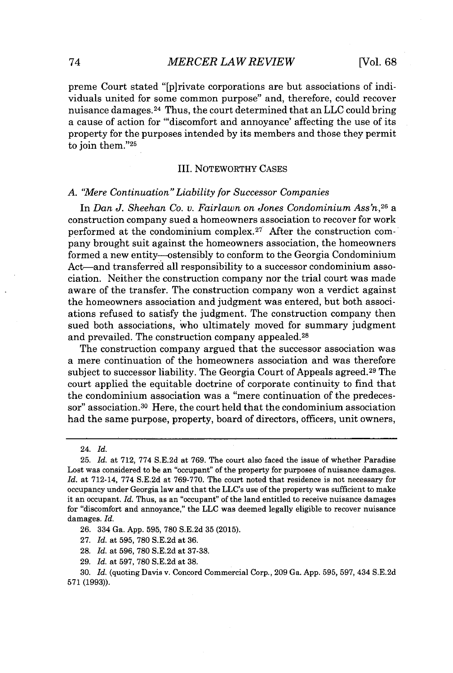preme Court stated "[p]rivate corporations are but associations of individuals united for some common purpose" and, therefore, could recover nuisance damages. <sup>24</sup>Thus, the court determined that an **LLC** could bring a cause of action for "'discomfort and annoyance' affecting the use of its property for the purposes intended **by** its members and those they permit to join them."<sup>25</sup>

#### III. NOTEWORTHY **CASES**

#### *A. "Mere Continuation" Liability for Successor Companies*

In *Dan J. Sheehan Co. v. Fairlawn on Jones Condominium Ass'n,<sup>26</sup>*a construction company sued a homeowners association to recover for work performed at the condominium complex.<sup>27</sup> After the construction company brought suit against the homeowners association, the homeowners formed a new entity---ostensibly to conform to the Georgia Condominium Act-and transferred all responsibility to a successor condominium association. Neither the construction company nor the trial court was made aware of the transfer. The construction company won a verdict against the homeowners association and judgment was entered, but both associations refused to satisfy the judgment. The construction company then sued both associations, who ultimately moved for summary judgment and prevailed. The construction company appealed.<sup>28</sup>

The construction company argued that the successor association was a mere continuation of the homeowners association and was therefore subject to successor liability. The Georgia Court of Appeals agreed.<sup>29</sup> The court applied the equitable doctrine of corporate continuity to find that the condominium association was a "mere continuation of the predecessor" association.<sup>30</sup> Here, the court held that the condominium association had the same purpose, property, board of directors, officers, unit owners,

- **27.** *Id.* at **595, 780 S.E.2d** at **36.**
- **28.** *Id.* at **596, 780 S.E.2d** at **37-38.**
- **29.** *Id.* at **597, 780 S.E.2d** at **38.**

<sup>24.</sup> *Id.*

**<sup>25.</sup>** *Id.* at **712, 774 S.E.2d** at **769.** The court also faced the issue of whether Paradise Lost was considered to be an "occupant" of the property for purposes of nuisance damages. *Id.* at 712-14, **774 S.E.2d** at **769-770.** The court noted that residence is not necessary for occupancy under Georgia law and that the LLC's use of the property was sufficient to make it an occupant. *Id.* Thus, as an "occupant" of the land entitled to receive nuisance damages for "discomfort and annoyance," the **LLC** was deemed legally eligible to recover nuisance damages. *Id.*

**<sup>26.</sup>** 334 Ga. **App. 595, 780 S.E.2d 35 (2015).**

**<sup>30.</sup>** *Id.* (quoting Davis v. Concord Commercial Corp., **209** Ga. **App. 595, 597, 434 S.E.2d 571 (1993)).**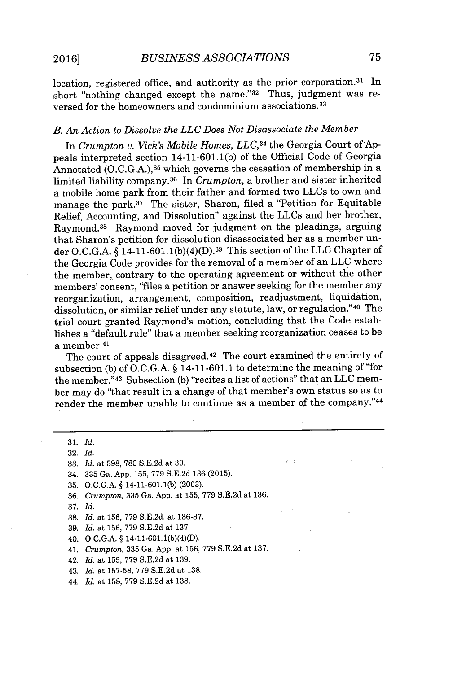location, registered office, and authority as the prior corporation. $31$  In short "nothing changed except the name." $32$  Thus, judgment was reversed for the homeowners and condominium associations. <sup>33</sup>

## *B. An Action to Dissolve the LLC Does Not Disassociate the Member*

In *Crumpton v. Vick's Mobile Homes, LLC,<sup>3</sup>4* the Georgia Court of **Ap**peals interpreted section 14-11-601.1(b) of the Official Code of Georgia Annotated **(O.C.G.A.), <sup>35</sup>**which governs the cessation of membership in a limited liability company. <sup>36</sup>In *Crumpton,* a brother and sister inherited a mobile home park from their father and formed two LLCs to own and manage the park. $37$  The sister, Sharon, filed a "Petition for Equitable Relief, Accounting, and Dissolution" against the LLCs and her brother, Raymond.<sup>38</sup> Raymond moved for judgment on the pleadings, arguing that Sharon's petition for dissolution disassociated her as a member under **O.C.G.A.** *§* 14-11-601.1(b)(4)(D).<sup>39</sup>This section of the **LLC** Chapter of the Georgia Code provides for the removal of a member of an **LLC** where the member, contrary to the operating agreement or without the other members' consent, "files a petition or answer seeking for the member any reorganization, arrangement, composition, readjustment, liquidation, dissolution, or similar relief under any statute, law, or regulation."40 The trial court granted Raymond's motion, concluding that the Code establishes a "default rule" that a member seeking reorganization ceases to be a member. <sup>41</sup>

The court of appeals disagreed. $42$  The court examined the entirety of subsection **(b)** of **O.C.G.A.** *§* 14-11-601.1 to determine the meaning of "for the member."<sup>43</sup> Subsection (b) "recites a list of actions" that an LLC member may do "that result in a change of that member's own status so as to render the member unable to continue as a member of the company."44

**33.** *Id.* at **598, 780 S.E.2d** at **39.**

34. **335** Ga. **App. 155, 779 S.E.2d 136 (2015).**

- **35. O.C.G.A. §** 14-11-601.1(b) **(2003).**
- **36.** *Crumpton,* **335** Ga. **App.** at **155, 779 S.E.2d** at **136.**
- **37.** *Id.*
- **38.** *Id.* at **156, 779 S.E.2d.** at **136-37.**
- **39.** *Id.* at **156, 779 S.E.2d** at **137.**
- *40.* **O.C.G.A. §** 14-11-601.1(b)(4)(D).
- 41. *Crumpton,* **335** Ga. **App.** at **156, 779 S.E.2d** at **137.**
- 42. *Id.* at **159, 779 S.E.2d** at **139.**
- 43. *Id.* at **157-58, 779 S.E.2d** at **138.**
- *44. Id.* at **158, 779 S.E.2d** at **138.**

**<sup>31.</sup>** *Id.*

**<sup>32.</sup>** *Id.*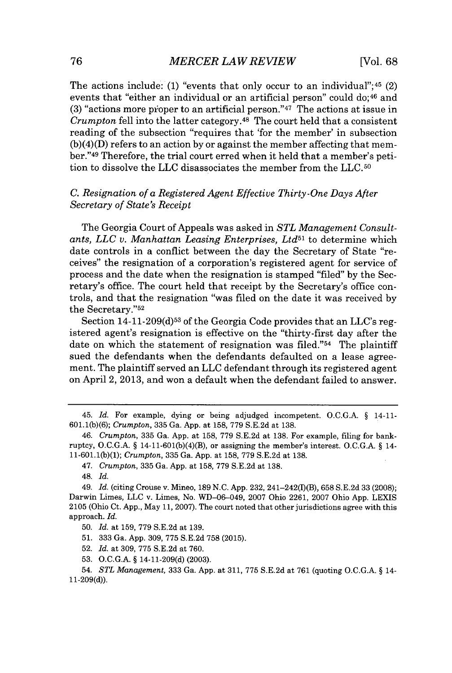The actions include: (1) "events that only occur to an individual";<sup>45</sup> (2) events that "either an individual or an artificial person" could do;<sup>46</sup> and  $(3)$  "actions more proper to an artificial person."<sup>47</sup> The actions at issue in *Crumpton* fell into the latter category.<sup>48</sup> The court held that a consistent reading of the subsection "requires that 'for the member' in subsection (b)(4)(D) refers to an action **by** or against the member affecting that member."<sup>49</sup> Therefore, the trial court erred when it held that a member's petition to dissolve the **LLC** disassociates the member from the **LLC.so**

## *C. Resignation of a Registered Agent Effective Thirty-One Days After Secretary of State's Receipt*

The Georgia Court of Appeals was asked in *STL Management Consult*ants, LLC v. Manhattan Leasing Enterprises, Ltd<sup>51</sup> to determine which date controls in a conflict between the day the Secretary of State "receives" the resignation of a corporation's registered agent for service of process and the date when the resignation is stamped "filed" **by** the Secretary's office. The court held that receipt **by** the Secretary's office controls, and that the resignation "was filed on the date it was received **by** the Secretary."<sup>52</sup>

Section **14-11-209(d)53** of the Georgia Code provides that an LLC's registered agent's resignation is effective on the "thirty-first day after the date on which the statement of resignation was filed." $54$  The plaintiff sued the defendants when the defendants defaulted on a lease agreement. The plaintiff served an **LLC** defendant through its registered agent on April 2, **2013,** and won a default when the defendant failed to answer.

- **52.** *Id.* at **309, 775 S.E.2d** at **760.**
- **53. O.C.G.A. §** 14-11-209(d) **(2003).**

<sup>45.</sup> *Id.* For example, dying or being adjudged incompetent. **O.C.G.A. §** 14-11- **601.1(b)(6);** *Crumpton,* **335** Ga. **App.** at **158, 779 S.E.2d** at **138.**

<sup>46.</sup> *Crumpton,* **335** Ga. **App.** at **158, 779 S.E.2d** at **138.** For example, filing for bankruptcy, **O.C.G.A. §** 14-11-601(b)(4)(B), or assigning the member's interest. **O.C.G.A. §** 14- **11-601.1(b)(1);** *Crumpton,* **335** Ga. **App.** at **158, 779 S.E.2d** at **138.**

<sup>47.</sup> *Crumpton,* 335 Ga. App. at 158, 779 S.E.2d at 138.

<sup>48.</sup> *Id.*

<sup>49.</sup> *Id.* (citing Crouse v. Mineo, **189 N.C. App. 232,** 241-242(I)(B), **658 S.E.2d 33 (2008);** Darwin Limes, **LLC** v. Limes, No. WD-06--049, **2007** Ohio **2261, 2007** Ohio **App.** LEXIS **2105** (Ohio Ct. **App.,** May **11, 2007).** The court noted that other jurisdictions agree with this approach. *Id.*

**<sup>50.</sup>** *Id.* at **159, 779 S.E.2d** at **139.**

**<sup>51. 333</sup>** Ga. **App. 309, 775 S.E.2d 758 (2015).**

<sup>54.</sup> *STL Management,* **333** Ga. **App.** at **311, 775 S.E.2d** at **761** (quoting **O.C.G.A. §** 14- **11-209(d)).**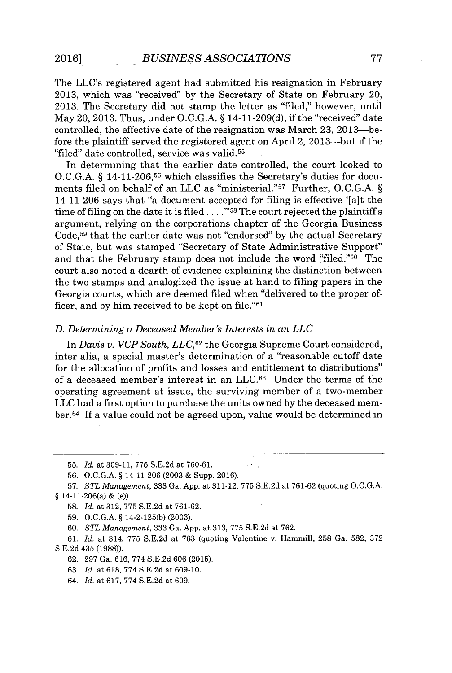The LLC's registered agent had submitted his resignation in February **2013,** which was "received" **by** the Secretary of State on February 20, **2013.** The Secretary did not stamp the letter as "filed," however, until May 20, **2013.** Thus, under **O.C.G.A.** *§* 14-11-209(d), if the "received" date controlled, the effective date of the resignation was March **23,** 2013-before the plaintiff served the registered agent on April 2, 2013-but if the "filed" date controlled, service was valid.<sup>55</sup>

In determining that the earlier date controlled, the court looked to **O.C.G.A.** *§* **14-11-206,56** which classifies the Secretary's duties for documents filed on behalf of an LLC as "ministerial."<sup>57</sup> Further, O.C.G.A. § 14-11-206 says that "a document accepted for filing is effective '[a]t the time of filing on the date it is filed. **. . ."'58** The court rejected the plaintiffs argument, relying on the corporations chapter of the Georgia Business Code,<sup>59</sup> that the earlier date was not "endorsed" by the actual Secretary of State, but was stamped "Secretary of State Administrative Support" and that the February stamp does not include the word "filed."<sup>60</sup> The court also noted a dearth of evidence explaining the distinction between the two stamps and analogized the issue at hand to filing papers in the Georgia courts, which are deemed filed when "delivered to the proper officer, and by him received to be kept on file."<sup>61</sup>

#### *D. Determining a Deceased Member's Interests in an LLC*

In *Davis v. VCP South, LLC,6 <sup>2</sup>*the Georgia Supreme Court considered, inter alia, a special master's determination of a "reasonable cutoff date for the allocation of profits and losses and entitlement to distributions" of a deceased member's interest in an **LLC.6<sup>3</sup>**Under the terms of the operating agreement at issue, the surviving member of a two-member **LLC** had a first option to purchase the units owned **by** the deceased member.<sup>64</sup> If a value could not be agreed upon, value would be determined in

**59. O.C.G.A.** *§* 14-2-125(b) **(2003).**

- **63.** *Id.* at **618, 774 S.E.2d** at **609-10.**
- 64. *Id.* at **617, 774 S.E.2d** at **609.**

**<sup>55.</sup>** *Id. at* **309-11, 775 S.E.2d** at **760-61.**

**<sup>56.</sup> O.C.G.A.** *§* 14-11-206 **(2003 &** Supp. **2016).**

**<sup>57.</sup>** *STL Management,* **333** Ga. **App.** at **311-12, 775 S.E.2d** at **761-62** (quoting **O.C.G.A.** *§* 14-11-206(a) **&** (e)).

**<sup>58.</sup>** *Id.* at **312, 775 S.E.2d** at **761-62.**

*<sup>60.</sup> STL Management,* **333** Ga. **App.** at **313, 775 S.E.2d** at **762.**

**<sup>61.</sup>** *Id.* at 314, **775 S.E.2d** at **763** (quoting Valentine v. Hammill, **258** Ga. **582, 372 S.E.2d** 435 **(1988)).**

**<sup>62. 297</sup>** Ga. **616, 774 S.E.2d 606 (2015).**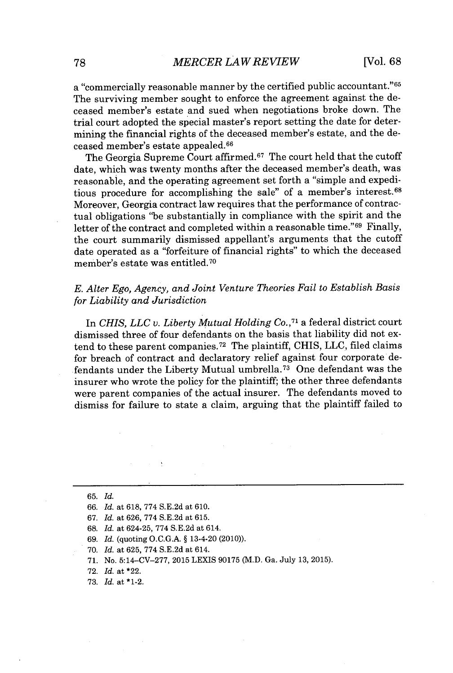a "commercially reasonable manner **by** the certified public accountant."<sup>65</sup> The surviving member sought to enforce the agreement against the deceased member's estate and sued when negotiations broke down. The trial court adopted the special master's report setting the date for determining the financial rights of the deceased member's estate, and the deceased member's estate appealed.<sup>66</sup>

The Georgia Supreme Court affirmed.<sup>67</sup> The court held that the cutoff date, which was twenty months after the deceased member's death, was reasonable, and the operating agreement set forth a "simple and expeditious procedure for accomplishing the sale" of a member's interest.<sup>68</sup> Moreover, Georgia contract law requires that the performance of contractual obligations "be substantially in compliance with the spirit and the letter of the contract and completed within a reasonable time."<sup>69</sup> Finally, the court summarily dismissed appellant's arguments that the cutoff date operated as a "forfeiture of financial rights" to which the deceased member's estate was entitled. <sup>70</sup>

## *E. Alter Ego, Agency, and Joint Venture Theories Fail to Establish Basis for Liability and Jurisdiction*

*In CHIS, LLC v. Liberty Mutual Holding Co.,71* a federal district court dismissed three of four defendants on the basis that liability did not extend to these parent companies.<sup>72</sup> The plaintiff, CHIS, LLC, filed claims for breach of contract and declaratory relief against four corporate defendants under the Liberty Mutual umbrella.<sup>73</sup> One defendant was the insurer who wrote the policy for the plaintiff; the other three defendants were parent companies of the actual insurer. The defendants moved to dismiss for failure to state a claim, arguing that the plaintiff failed to

- *67. Id.* at **626, 774 S.E.2d** at **615.**
- **68.** *Id.* at 624-25, **774 S.E.2d** at 614.
- *69. Id.* (quoting **O.C.G.A. §** 13-4-20 (2010)).
- **70.** *Id.* at **625, 774 S.E.2d** at 614.
- **71.** No. **5:14-CV-277, 2015** LEXIS **90175** (M.D. Ga. July **13, 2015).**
- **72.** *Id.* at \*22.
- **73.** *Id.* at \*1-2.

**<sup>65.</sup>** *Id.*

*<sup>66.</sup> Id.* at **618, 774 S.E.2d** at **610.**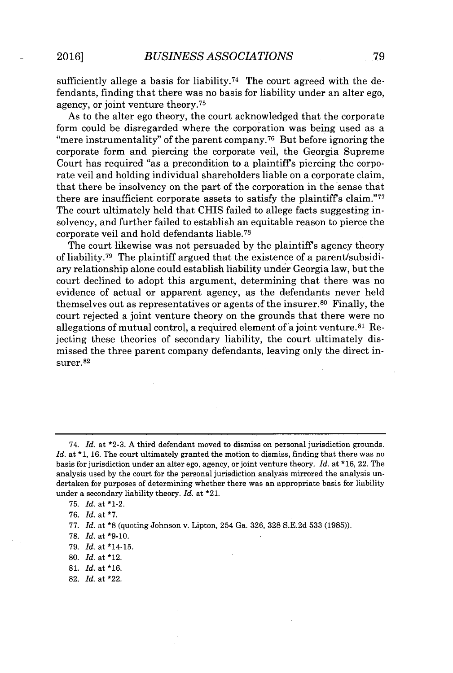sufficiently allege a basis for liability.<sup>74</sup> The court agreed with the defendants, finding that there was no basis for liability under an alter ego, agency, or joint venture theory. <sup>75</sup>

As to the alter ego theory, the court acknowledged that the corporate form could be disregarded where the corporation was being used as a "mere instrumentality" of the parent company.<sup>76</sup> But before ignoring the corporate form and piercing the corporate veil, the Georgia Supreme Court has required "as a precondition to a plaintiffs piercing the corporate veil and holding individual shareholders liable on a corporate claim, that there be insolvency on the part of the corporation in the sense that there are insufficient corporate assets to satisfy the plaintiff's claim."<sup>77</sup> The court ultimately held that **CHIS** failed to allege facts suggesting insolvency, and further failed to establish an equitable reason to pierce the corporate veil and hold defendants liable.<sup>78</sup>

The court likewise was not persuaded **by** the plaintiffs agency theory of liability.<sup>79</sup> The plaintiff argued that the existence of a parent/subsidiary relationship alone could establish liability under Georgia law, but the court declined to adopt this argument, determining that there was no evidence of actual or apparent agency, as the defendants never held themselves out as representatives or agents of the insurer.<sup>80</sup> Finally, the court rejected a joint venture theory on the grounds that there were no allegations of mutual control, a required element of a joint venture. $81$  Rejecting these theories of secondary liability, the court ultimately dismissed the three parent company defendants, leaving only the direct insurer.<sup>82</sup>

- **78.** *Id.* at **\*9-10.**
- **79.** *Id.* at \*14-15.
- **80.** *Id.* at \*12.
- **81.** *Id.* at **\*16.**
- **82.** *Id.* at \*22.

*<sup>74.</sup> Id.* at **\*2-3. A** third defendant moved to dismiss on personal jurisdiction grounds. Id. at \*1, 16. The court ultimately granted the motion to dismiss, finding that there was no basis for jurisdiction under an alter ego, agency, or joint venture theory. *Id.* at **\*16,** 22. The analysis used **by** the court for the personal jurisdiction analysis mirrored the analysis undertaken for purposes of determining whether there was an appropriate basis for liability under a secondary liability theory. *Id.* at \*21.

**<sup>75.</sup>** *Id.* at \*1-2.

**<sup>76.</sup>** *Id.* at **\*7.**

**<sup>77.</sup>** *Id.* at **\*8** (quoting Johnson v. Lipton, 254 Ga. **326, 328 S.E.2d 533 (1985)).**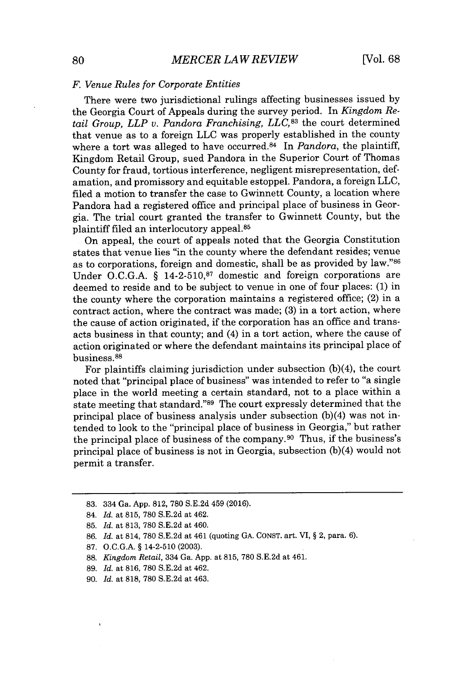## *F. Venue Rules for Corporate Entities*

There were two jurisdictional rulings affecting businesses issued **by** the Georgia Court of Appeals during the survey period. In *Kingdom Retail Group, LLP v. Pandora Franchising, LLC,83* the court determined that venue as to a foreign **LLC** was properly established in the county where a tort was alleged to have occurred.<sup>84</sup> In *Pandora*, the plaintiff, Kingdom Retail Group, sued Pandora in the Superior Court of Thomas County for fraud, tortious interference, negligent misrepresentation, defamation, and promissory and equitable estoppel. Pandora, a foreign **LLC,** filed a motion to transfer the case to Gwinnett County, a location where Pandora had a registered office and principal place of business in Georgia. The trial court granted the transfer to Gwinnett County, but the plaintiff filed an interlocutory appeal.<sup>85</sup>

On appeal, the court of appeals noted that the Georgia Constitution states that venue lies "in the county where the defendant resides; venue as to corporations, foreign and domestic, shall be as provided **by** law."<sup>86</sup> Under **O.C.G.A. § 14-2-510,87** domestic and foreign corporations are deemed to reside and to be subject to venue in one of four places: **(1)** in the county where the corporation maintains a registered office; (2) in a contract action, where the contract was made; **(3)** in a tort action, where the cause of action originated, if the corporation has an office and transacts business in that county; and (4) in a tort action, where the cause of action originated or where the defendant maintains its principal place of business.<sup>88</sup>

For plaintiffs claiming jurisdiction under subsection  $(b)(4)$ , the court noted that "principal place of business" was intended to refer to "a single place in the world meeting a certain standard, not to a place within a state meeting that standard."<sup>89</sup> The court expressly determined that the principal place of business analysis under subsection (b)(4) was not intended to look to the "principal place of business in Georgia," but rather the principal place of business of the company.<sup>90</sup> Thus, if the business's principal place of business is not in Georgia, subsection (b)(4) would not permit a transfer.

**<sup>83.</sup>** 334 Ga. **App. 812, 780 S.E.2d** 459 **(2016).**

<sup>84.</sup> *Id. at* **815, 780 S.E.2d** at 462.

**<sup>85.</sup>** *Id.* at **813, 780 S.E.2d** at 460.

**<sup>86.</sup>** *Id.* at 814, **780 S.E.2d** at 461 (quoting **GA. CONST.** art. VI, *§* 2, para. **6).**

**<sup>87.</sup> O.C.G.A.** *§* 14-2-510 **(2003).**

**<sup>88.</sup>** *Kingdom Retail,* 334 Ga. **App.** at **815, 780 S.E.2d** at 461.

**<sup>89.</sup>** *Id.* at **816, 780 S.E.2d** at 462.

**<sup>90.</sup>** *Id.* at **818, 780 S.E.2d** at 463.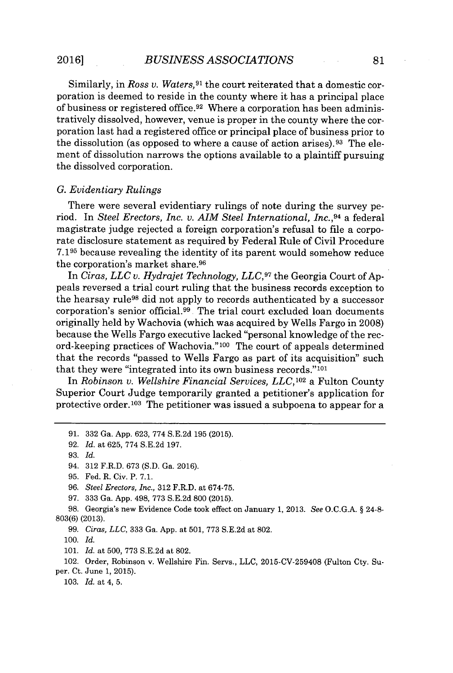Similarly, in *Ross v. Waters*,<sup>91</sup> the court reiterated that a domestic corporation is deemed to reside in the county where it has a principal place of business or registered office.<sup>92</sup> Where a corporation has been administratively dissolved, however, venue is proper in the county where the corporation last had a registered office or principal place of business prior to the dissolution (as opposed to where a cause of action arises).<sup>93</sup> The element of dissolution narrows the options available to a plaintiff pursuing the dissolved corporation.

#### *G. Evidentiary Rulings*

There were several evidentiary rulings of note during the survey period. In *Steel Erectors, Inc. v. AIM Steel International, Inc.,<sup>94</sup>*a federal magistrate judge rejected a foreign corporation's refusal to file a corporate disclosure statement as required **by** Federal Rule of Civil Procedure **7.195** because revealing the identity of its parent would somehow reduce the corporation's market share.<sup>96</sup>

In *Ciras, LLC v. Hydrajet Technology, LLC,97* the Georgia Court of **Ap**peals reversed a trial court ruling that the business records exception to the hearsay rule<sup>98</sup>did not apply to records authenticated **by** a successor corporation's senior official.<sup>99</sup>. The trial court excluded loan documents originally held **by** Wachovia (which was acquired **by** Wells Fargo in **2008)** because the Wells Fargo executive lacked "personal knowledge of the record-keeping practices of Wachovia."<sup>100</sup> The court of appeals determined that the records "passed to Wells Fargo as part of its acquisition" such that they were "integrated into its own business records." $101$ 

In *Robinson v. Wellshire Financial Services, LLC,102* a Fulton County Superior Court Judge temporarily granted a petitioner's application for protective order.<sup>103</sup> The petitioner was issued a subpoena to appear for a

*100. Id.*

**101.** *Id.* at **500, 773 S.E.2d** at **802.**

102. Order, Robinson v. Wellshire Fin. Servs., **LLC, 2015-CV-259408** (Fulton Cty. Super. Ct. June **1, 2015).**

*103. Id.* at 4, **5.**

**<sup>91. 332</sup>** Ga. **App. 623, 774 S.E.2d 195 (2015).**

**<sup>92.</sup>** *Id.* at **625, 774 S.E.2d 197.**

**<sup>93.</sup>** *Id.*

<sup>94.</sup> **312** F.R.D. **673 (S.D.** Ga. **2016).**

**<sup>95.</sup>** Fed. R. Civ. P. **7.1.**

**<sup>96.</sup>** *Steel Erectors, Inc.,* **312** F.R.D. at **674-75.**

**<sup>97. 333</sup>** Ga. **App.** 498, **773 S.E.2d 800 (2015).**

**<sup>98.</sup>** Georgia's new Evidence Code took effect on January **1, 2013.** *See* **O.C.G.A.** *§* 24-8- **803(6) (2013).**

**<sup>99.</sup>** *Ciras, LLC,* **333** Ga. **App.** at **501, 773 S.E.2d** at **802.**